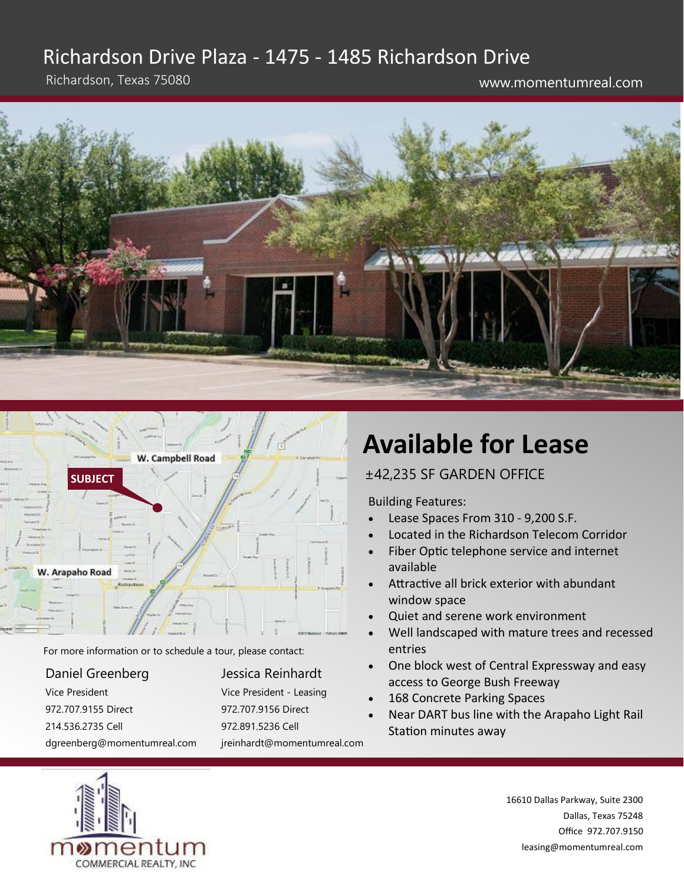## Richardson Drive Plaza - 1475 - 1485 Richardson Drive

Richardson, Texas 75080 www.momentumreal.com





For more information or to schedule a tour, please contact:

#### Daniel Greenberg Vice President 972.707.9155 Direct 214.536.2735 Cell dgreenberg@momentumreal.com

#### Jessica Reinhardt Vice President - Leasing 972.707.9156 Direct 972.891.5236 Cell

jreinhardt@momentumreal.com

# **Available for Lease**

#### ±42,235 SF GARDEN OFFICE

Building Features:

- Lease Spaces From 310 9,200 S.F.
- Located in the Richardson Telecom Corridor
- Fiber Optic telephone service and internet available
- Attractive all brick exterior with abundant window space
- Quiet and serene work environment
- Well landscaped with mature trees and recessed entries
- One block west of Central Expressway and easy access to George Bush Freeway
- 168 Concrete Parking Spaces
- Near DART bus line with the Arapaho Light Rail Station minutes away

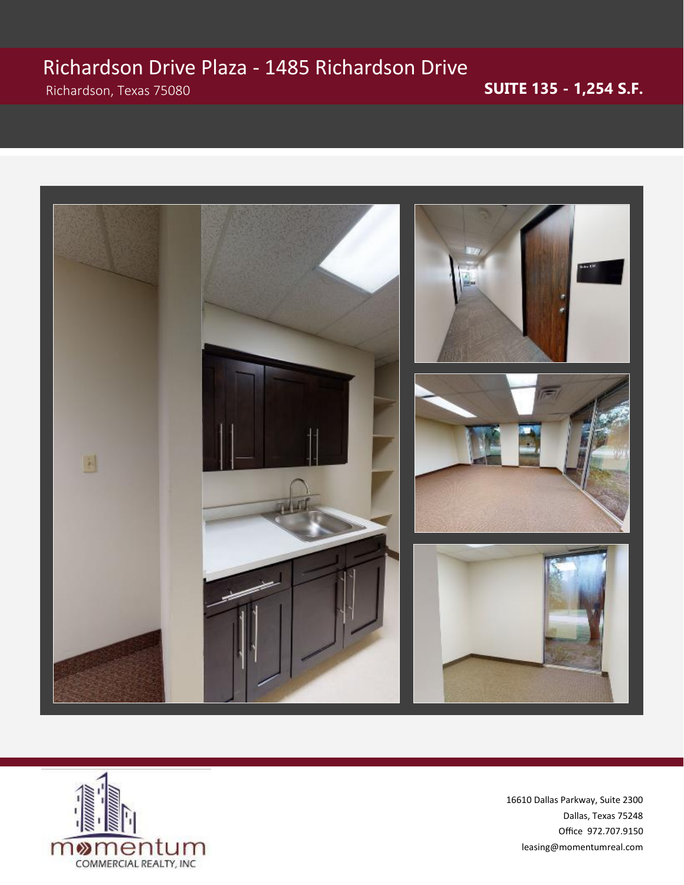# Richardson Drive Plaza - 1485 Richardson Drive

### Richardson, Texas 75080 **SUITE 135 - 1,254 S.F.**



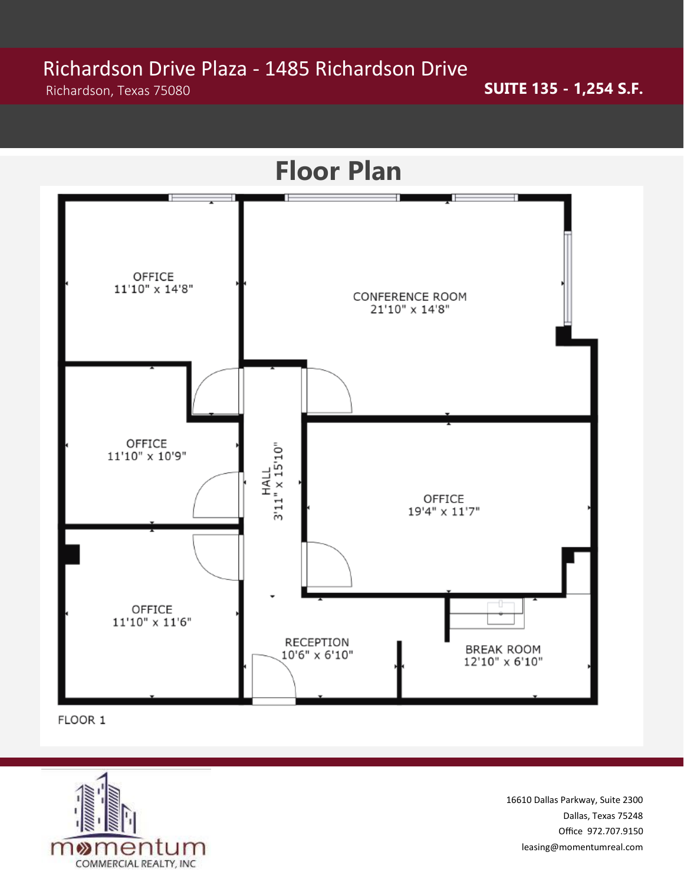# Richardson Drive Plaza - 1485 Richardson Drive<br>Richardson, Texas 75080

Richardson, Texas 75080 **SUITE 135 - 1,254 S.F.** 



FLOOR 1